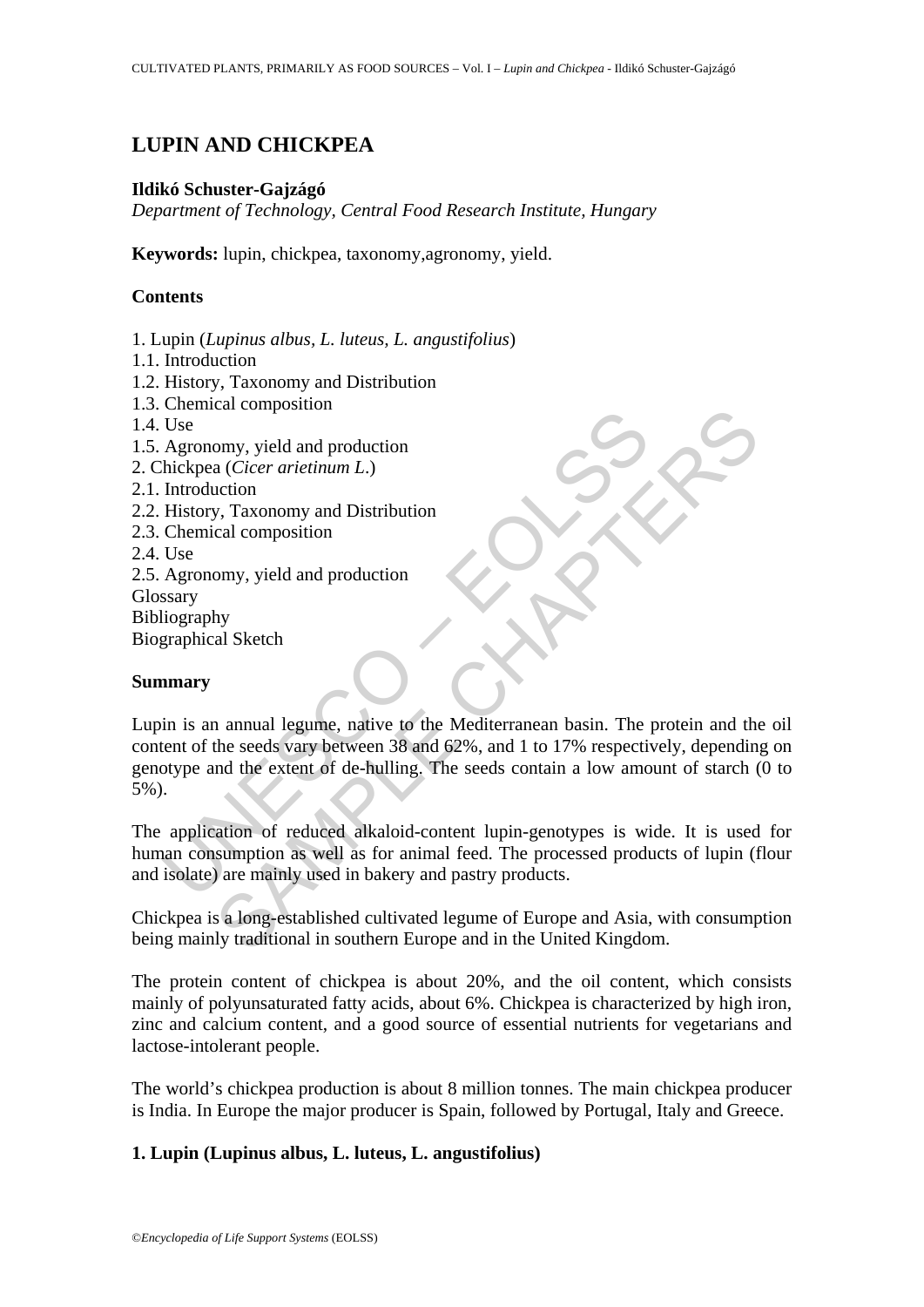# **LUPIN AND CHICKPEA**

### **Ildikó Schuster-Gajzágó**

*Department of Technology, Central Food Research Institute, Hungary*

Keywords: lupin, chickpea, taxonomy, agronomy, yield.

## **Contents**

- 1. Lupin (*Lupinus albus, L. luteus, L. angustifolius*)
- 1.1. Introduction
- 1.2. History, Taxonomy and Distribution
- 1.3. Chemical composition
- 1.4. Use
- 1.5. Agronomy, yield and production
- 2. Chickpea (*Cicer arietinum L*.)
- 2.1. Introduction
- 2.2. History, Taxonomy and Distribution
- 2.3. Chemical composition
- 2.4. Use

2.5. Agronomy, yield and production

Glossary

Bibliography

Biographical Sketch

### **Summary**

Use<br>
Use<br>
Agronomy, yield and production<br>
hickpea (*Cicer arietinum L.*)<br>
Introduction<br>
History, Taxonomy and Distribution<br>
Use<br>
Agronomy, yield and production<br>
Use<br>
Agronomy, yield and production<br>
Use<br>
Agronomy, yield and Calcomposition<br>
and Cicer arietinum L.)<br>
straction<br>
straction and production<br>
cal composition<br>
omy, yield and production<br>
omy, yield and production<br>
omy, yield and production<br>
omy, yield and production<br>
omy, yield and prod Lupin is an annual legume, native to the Mediterranean basin. The protein and the oil content of the seeds vary between 38 and 62%, and 1 to 17% respectively, depending on genotype and the extent of de-hulling. The seeds contain a low amount of starch (0 to 5%).

The application of reduced alkaloid-content lupin-genotypes is wide. It is used for human consumption as well as for animal feed. The processed products of lupin (flour and isolate) are mainly used in bakery and pastry products.

Chickpea is a long-established cultivated legume of Europe and Asia, with consumption being mainly traditional in southern Europe and in the United Kingdom.

The protein content of chickpea is about 20%, and the oil content, which consists mainly of polyunsaturated fatty acids, about 6%. Chickpea is characterized by high iron, zinc and calcium content, and a good source of essential nutrients for vegetarians and lactose-intolerant people.

The world's chickpea production is about 8 million tonnes. The main chickpea producer is India. In Europe the major producer is Spain, followed by Portugal, Italy and Greece.

## **1. Lupin (Lupinus albus, L. luteus, L. angustifolius)**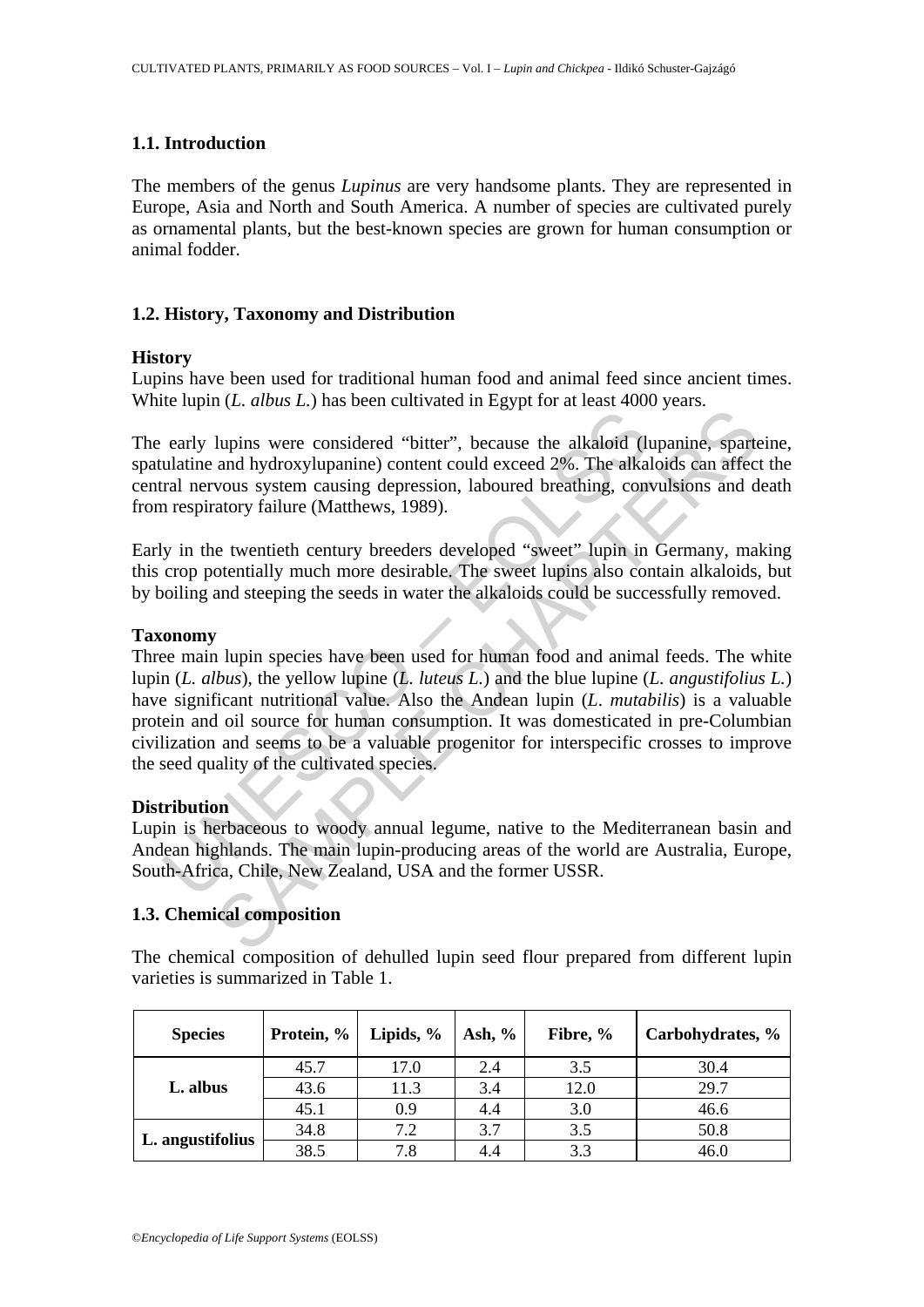#### **1.1. Introduction**

The members of the genus *Lupinus* are very handsome plants. They are represented in Europe, Asia and North and South America. A number of species are cultivated purely as ornamental plants, but the best-known species are grown for human consumption or animal fodder.

#### **1.2. History, Taxonomy and Distribution**

#### **History**

Lupins have been used for traditional human food and animal feed since ancient times. White lupin (*L. albus L.*) has been cultivated in Egypt for at least 4000 years.

The early lupins were considered "bitter", because the alkaloid (lupanine, sparteine, spatulatine and hydroxylupanine) content could exceed 2%. The alkaloids can affect the central nervous system causing depression, laboured breathing, convulsions and death from respiratory failure (Matthews, 1989).

Early in the twentieth century breeders developed "sweet" lupin in Germany, making this crop potentially much more desirable. The sweet lupins also contain alkaloids, but by boiling and steeping the seeds in water the alkaloids could be successfully removed.

#### **Taxonomy**

early lupins were considered "bitter", because the alkaloid (lulatine and hydroxylupanine) content could exceed 2%. The alkard nervous system causing depression, laboured breathing, com respiratory failure (Matthews, 1989 lupins were considered "bitter", because the alkaloid (lupanine, sparted upside and hydroxylupanine) content could exceed 2%. The alkaloids can affect and hydroxylupanine) content could exceed 2%. The alkaloids can affect Three main lupin species have been used for human food and animal feeds. The white lupin (*L. albus*), the yellow lupine (*L. luteus L.*) and the blue lupine (*L. angustifolius L.*) have significant nutritional value. Also the Andean lupin (*L*. *mutabilis*) is a valuable protein and oil source for human consumption. It was domesticated in pre-Columbian civilization and seems to be a valuable progenitor for interspecific crosses to improve the seed quality of the cultivated species.

#### **Distribution**

Lupin is herbaceous to woody annual legume, native to the Mediterranean basin and Andean highlands. The main lupin-producing areas of the world are Australia, Europe, South-Africa, Chile, New Zealand, USA and the former USSR.

### **1.3. Chemical composition**

The chemical composition of dehulled lupin seed flour prepared from different lupin varieties is summarized in Table 1.

| <b>Species</b>   | Protein, % | Lipids, $\%$ | Ash, $\%$ | Fibre, % | Carbohydrates, % |
|------------------|------------|--------------|-----------|----------|------------------|
| L. albus         | 45.7       | 17.0         | 2.4       | 3.5      | 30.4             |
|                  | 43.6       | 11.3         | 3.4       | 12.0     | 29.7             |
|                  | 45.1       | 0.9          | 4.4       | 3.0      | 46.6             |
| L. angustifolius | 34.8       | 7.2          | 3.7       | 3.5      | 50.8             |
|                  | 38.5       | 7.8          | 4.4       | 3.3      | 46.0             |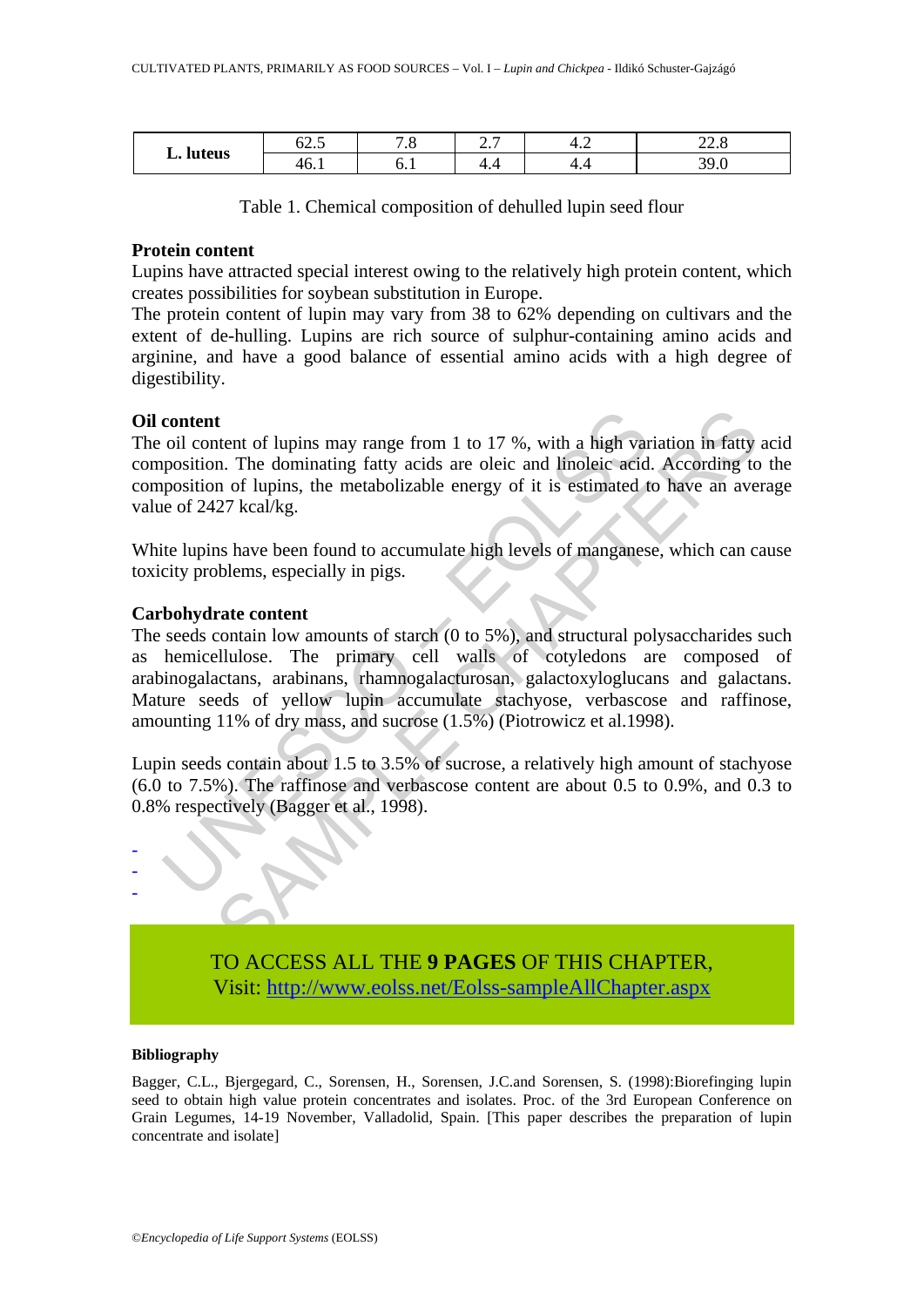| L. luteus | -^<br>∪4.J                       | $\cdot$ $\circ$ | ، ، ، | т.∠      | $\sim$ $\sim$<br>44.0 |
|-----------|----------------------------------|-----------------|-------|----------|-----------------------|
|           | $\overline{\phantom{a}}$<br>46.1 | ∪.⊥             | <br>  | ▭<br>┱.– | $\Omega$<br>$J$ .     |

Table 1. Chemical composition of dehulled lupin seed flour

#### **Protein content**

Lupins have attracted special interest owing to the relatively high protein content, which creates possibilities for soybean substitution in Europe.

The protein content of lupin may vary from 38 to 62% depending on cultivars and the extent of de-hulling. Lupins are rich source of sulphur-containing amino acids and arginine, and have a good balance of essential amino acids with a high degree of digestibility.

### **Oil content**

The oil content of lupins may range from 1 to 17 %, with a high variation in fatty acid composition. The dominating fatty acids are oleic and linoleic acid. According to the composition of lupins, the metabolizable energy of it is estimated to have an average value of 2427 kcal/kg.

White lupins have been found to accumulate high levels of manganese, which can cause toxicity problems, especially in pigs.

#### **Carbohydrate content**

content<br>coil content of lupins may range from 1 to 17 %, with a high var<br>position of lupins, the metabolizable energy of it is estimated t<br>e of 2427 kcal/kg.<br>te upins have been found to accumulate high levels of manganes<br>c t tend of lupins may range from 1 to 17 %, with a high variation in fatty n. The dominating fatty acids are oleic and linoleic acid. According to not lupins, the metabolizable energy of it is estimated to have an ave  $27 \text$ The seeds contain low amounts of starch (0 to 5%), and structural polysaccharides such as hemicellulose. The primary cell walls of cotyledons are composed of arabinogalactans, arabinans, rhamnogalacturosan, galactoxyloglucans and galactans. Mature seeds of yellow lupin accumulate stachyose, verbascose and raffinose, amounting 11% of dry mass, and sucrose (1.5%) (Piotrowicz et al.1998).

Lupin seeds contain about 1.5 to 3.5% of sucrose, a relatively high amount of stachyose (6.0 to 7.5%). The raffinose and verbascose content are about 0.5 to 0.9%, and 0.3 to 0.8% respectively (Bagger et al., 1998).



TO ACCESS ALL THE **9 PAGES** OF THIS CHAPTER, Visit[: http://www.eolss.net/Eolss-sampleAllChapter.aspx](https://www.eolss.net/ebooklib/sc_cart.aspx?File=E5-02-02-03)

#### **Bibliography**

Bagger, C.L., Bjergegard, C., Sorensen, H., Sorensen, J.C.and Sorensen, S. (1998):Biorefinging lupin seed to obtain high value protein concentrates and isolates. Proc. of the 3rd European Conference on Grain Legumes, 14-19 November, Valladolid, Spain. [This paper describes the preparation of lupin concentrate and isolate]